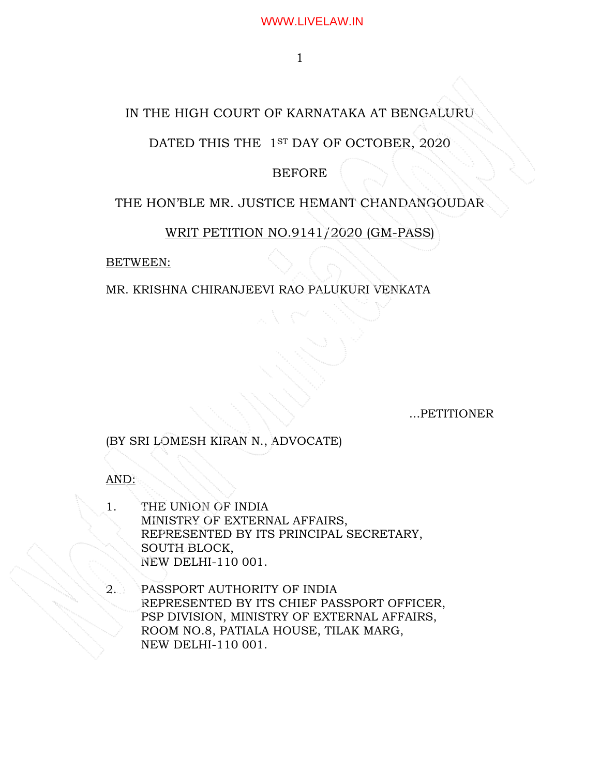# IN THE HIGH COURT OF KARNATAKA AT BENGALURU

# DATED THIS THE 1ST DAY OF OCTOBER, 2020

## BEFORE

## THE HON'BLE MR. JUSTICE HEMANT CHANDANGOUDAR

## WRIT PETITION NO.9141/2020 (GM-PASS)

j

BETWEEN:

### MR. KRISHNA CHIRANJEEVI RAO PALUKURI VENKATA

...PETITIONER

(BY SRI LOMESH KIRAN N., ADVOCATE)

AND:

- 1. THE UNION OF INDIA MINISTRY OF EXTERNAL AFFAIRS, REPRESENTED BY ITS PRINCIPAL SECRETARY, SOUTH BLOCK, NEW DELHI-110 001.
- 2. PASSPORT AUTHORITY OF INDIA REPRESENTED BY ITS CHIEF PASSPORT OFFICER, PSP DIVISION, MINISTRY OF EXTERNAL AFFAIRS, ROOM NO.8, PATIALA HOUSE, TILAK MARG, NEW DELHI-110 001.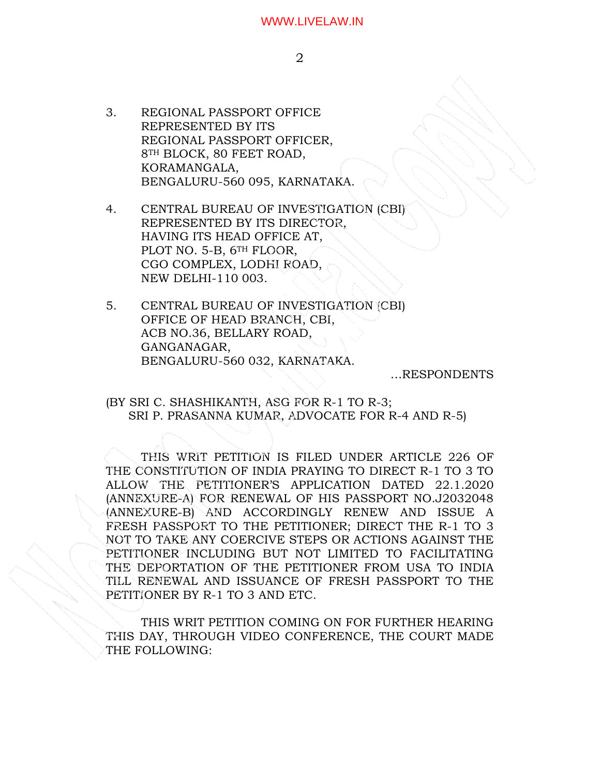3. REGIONAL PASSPORT OFFICE REPRESENTED BY ITS REGIONAL PASSPORT OFFICER, 8TH BLOCK, 80 FEET ROAD, KORAMANGALA, BENGALURU-560 095, KARNATAKA.

4. CENTRAL BUREAU OF INVESTIGATION (CBI) REPRESENTED BY ITS DIRECTOR, HAVING ITS HEAD OFFICE AT, PLOT NO. 5-B, 6<sup>TH</sup> FLOOR, CGO COMPLEX, LODHI ROAD, NEW DELHI-110 003.

5. CENTRAL BUREAU OF INVESTIGATION (CBI) OFFICE OF HEAD BRANCH, CBI, ACB NO.36, BELLARY ROAD, GANGANAGAR, BENGALURU-560 032, KARNATAKA.

…RESPONDENTS

(BY SRI C. SHASHIKANTH, ASG FOR R-1 TO R-3; SRI P. PRASANNA KUMAR, ADVOCATE FOR R-4 AND R-5)

THIS WRIT PETITION IS FILED UNDER ARTICLE 226 OF THE CONSTITUTION OF INDIA PRAYING TO DIRECT R-1 TO 3 TO ALLOW THE PETITIONER'S APPLICATION DATED 22.1.2020 (ANNEXURE-A) FOR RENEWAL OF HIS PASSPORT NO.J2032048 (ANNEXURE-B) AND ACCORDINGLY RENEW AND ISSUE A FRESH PASSPORT TO THE PETITIONER; DIRECT THE R-1 TO 3 NOT TO TAKE ANY COERCIVE STEPS OR ACTIONS AGAINST THE PETITIONER INCLUDING BUT NOT LIMITED TO FACILITATING THE DEPORTATION OF THE PETITIONER FROM USA TO INDIA TILL RENEWAL AND ISSUANCE OF FRESH PASSPORT TO THE PETITIONER BY R-1 TO 3 AND ETC.

THIS WRIT PETITION COMING ON FOR FURTHER HEARING THIS DAY, THROUGH VIDEO CONFERENCE, THE COURT MADE THE FOLLOWING: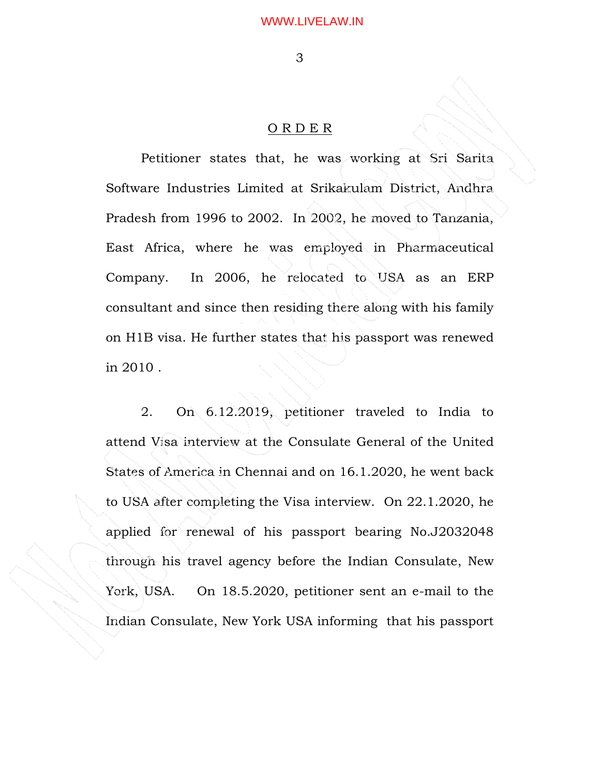# O R D E R

Petitioner states that, he was working at Sri Sarita Software Industries Limited at Srikakulam District, Andhra Pradesh from 1996 to 2002. In 2002, he moved to Tanzania, East Africa, where he was employed in Pharmaceutical Company. In 2006, he relocated to USA as an ERP consultant and since then residing there along with his family on H1B visa. He further states that his passport was renewed in 2010 .

2. On 6.12.2019, petitioner traveled to India to attend Visa interview at the Consulate General of the United States of America in Chennai and on 16.1.2020, he went back to USA after completing the Visa interview. On 22.1.2020, he applied for renewal of his passport bearing No.J2032048 through his travel agency before the Indian Consulate, New York, USA. On 18.5.2020, petitioner sent an e-mail to the Indian Consulate, New York USA informing that his passport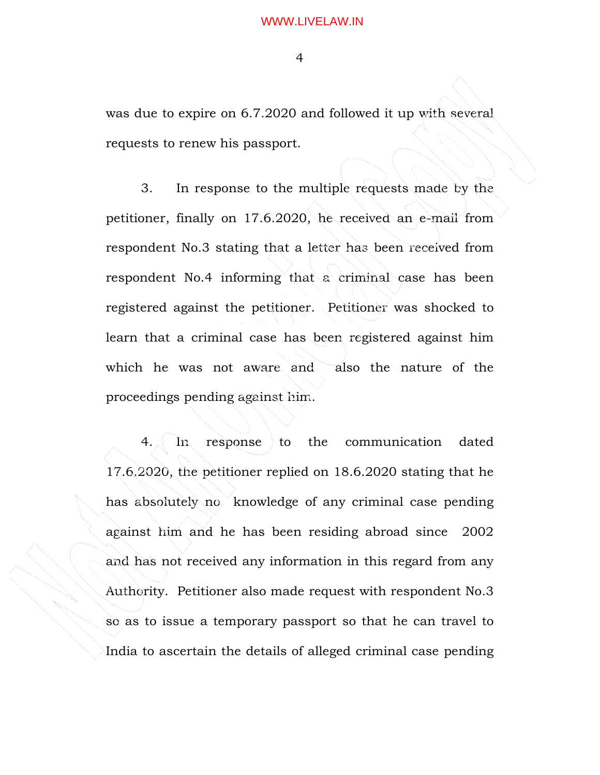was due to expire on 6.7.2020 and followed it up with several requests to renew his passport.

3. In response to the multiple requests made by the petitioner, finally on 17.6.2020, he received an e-mail from respondent No.3 stating that a letter has been received from respondent No.4 informing that a criminal case has been registered against the petitioner. Petitioner was shocked to learn that a criminal case has been registered against him which he was not aware and also the nature of the proceedings pending against him.

4. In response to the communication dated 17.6.2020, the petitioner replied on 18.6.2020 stating that he has absolutely no knowledge of any criminal case pending against him and he has been residing abroad since 2002 and has not received any information in this regard from any Authority. Petitioner also made request with respondent No.3 so as to issue a temporary passport so that he can travel to India to ascertain the details of alleged criminal case pending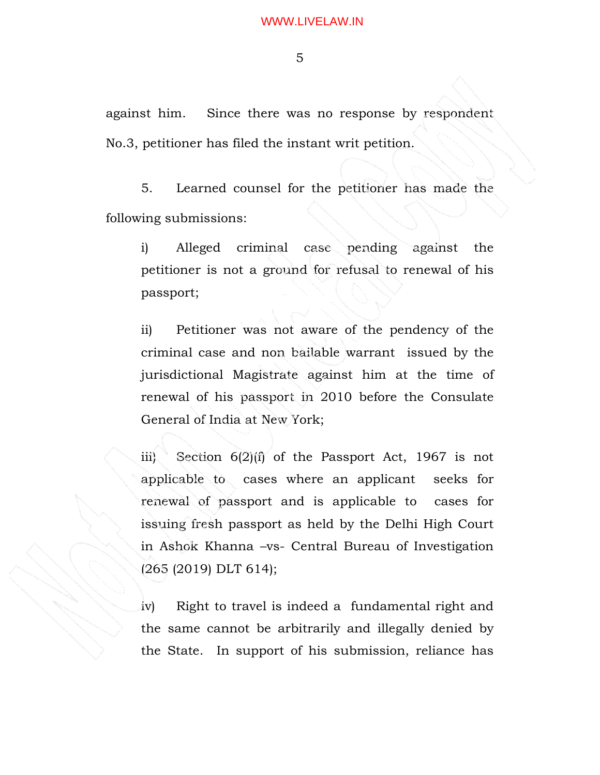against him. Since there was no response by respondent No.3, petitioner has filed the instant writ petition.

5. Learned counsel for the petitioner has made the following submissions:

i) Alleged criminal case pending against the petitioner is not a ground for refusal to renewal of his passport;

ii) Petitioner was not aware of the pendency of the criminal case and non bailable warrant issued by the jurisdictional Magistrate against him at the time of renewal of his passport in 2010 before the Consulate General of India at New York;

iii) Section 6(2)(f) of the Passport Act, 1967 is not applicable to cases where an applicant seeks for renewal of passport and is applicable to cases for issuing fresh passport as held by the Delhi High Court in Ashok Khanna –vs- Central Bureau of Investigation (265 (2019) DLT 614);

iv) Right to travel is indeed a fundamental right and the same cannot be arbitrarily and illegally denied by the State. In support of his submission, reliance has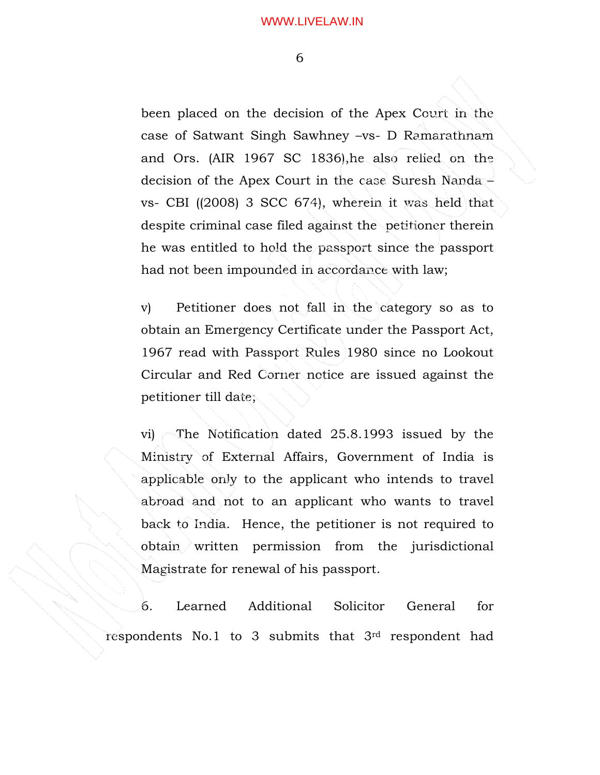been placed on the decision of the Apex Court in the case of Satwant Singh Sawhney –vs- D Ramarathnam and Ors. (AIR 1967 SC 1836),he also relied on the decision of the Apex Court in the case Suresh Nanda – vs- CBI ((2008) 3 SCC 674), wherein it was held that despite criminal case filed against the petitioner therein he was entitled to hold the passport since the passport had not been impounded in accordance with law;

v) Petitioner does not fall in the category so as to obtain an Emergency Certificate under the Passport Act, 1967 read with Passport Rules 1980 since no Lookout Circular and Red Corner notice are issued against the petitioner till date;

vi) The Notification dated 25.8.1993 issued by the Ministry of External Affairs, Government of India is applicable only to the applicant who intends to travel abroad and not to an applicant who wants to travel back to India. Hence, the petitioner is not required to obtain written permission from the jurisdictional Magistrate for renewal of his passport.

6. Learned Additional Solicitor General for respondents No.1 to 3 submits that 3rd respondent had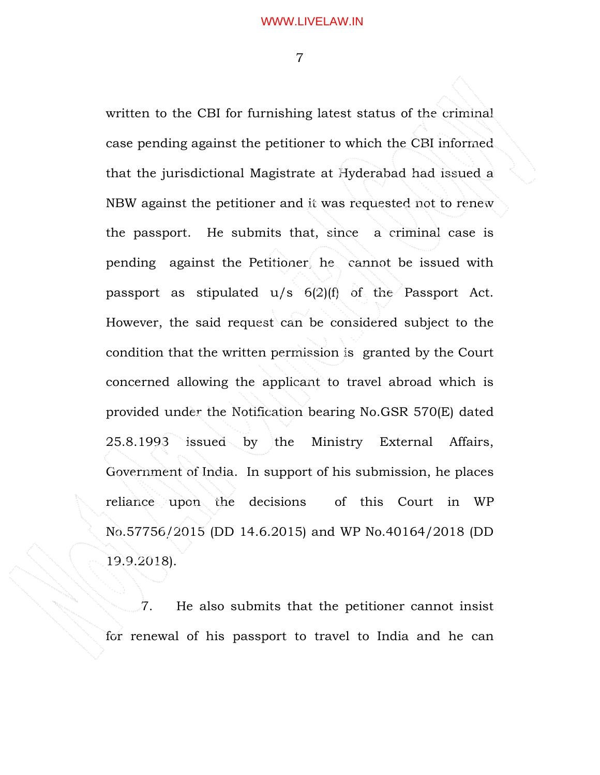written to the CBI for furnishing latest status of the criminal case pending against the petitioner to which the CBI informed that the jurisdictional Magistrate at Hyderabad had issued a NBW against the petitioner and it was requested not to renew the passport. He submits that, since a criminal case is pending against the Petitioner, he cannot be issued with passport as stipulated u/s 6(2)(f) of the Passport Act. However, the said request can be considered subject to the condition that the written permission is granted by the Court concerned allowing the applicant to travel abroad which is provided under the Notification bearing No.GSR 570(E) dated 25.8.1993 issued by the Ministry External Affairs, Government of India. In support of his submission, he places reliance upon the decisions of this Court in WP No.57756/2015 (DD 14.6.2015) and WP No.40164/2018 (DD 19.9.2018).

 7. He also submits that the petitioner cannot insist for renewal of his passport to travel to India and he can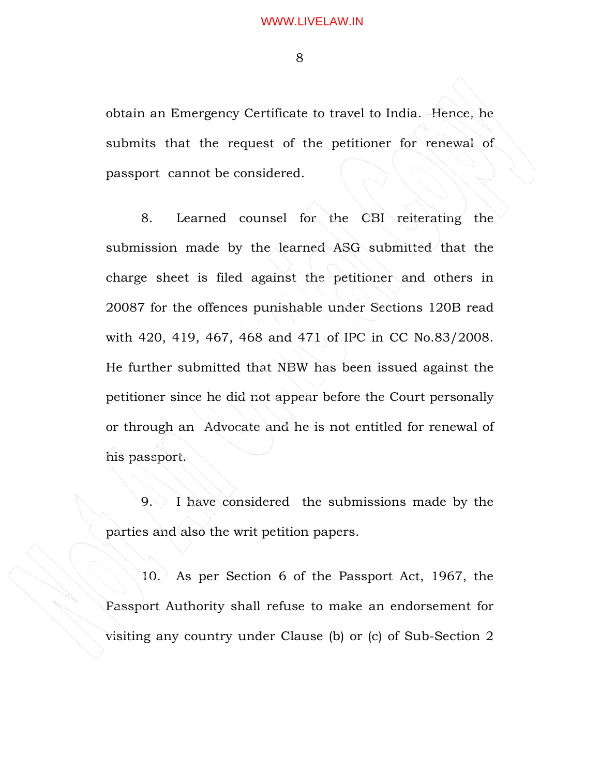obtain an Emergency Certificate to travel to India. Hence, he submits that the request of the petitioner for renewal of passport cannot be considered.

8. Learned counsel for the CBI reiterating the submission made by the learned ASG submitted that the charge sheet is filed against the petitioner and others in 20087 for the offences punishable under Sections 120B read with 420, 419, 467, 468 and 471 of IPC in CC No.83/2008. He further submitted that NBW has been issued against the petitioner since he did not appear before the Court personally or through an Advocate and he is not entitled for renewal of his passport.

9. I have considered the submissions made by the parties and also the writ petition papers.

10. As per Section 6 of the Passport Act, 1967, the Passport Authority shall refuse to make an endorsement for visiting any country under Clause (b) or (c) of Sub-Section 2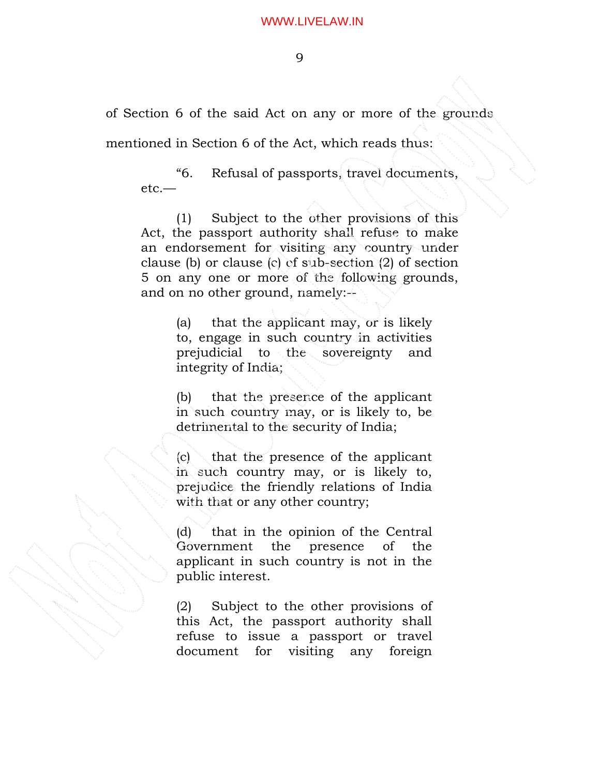of Section 6 of the said Act on any or more of the grounds

mentioned in Section 6 of the Act, which reads thus:

"6. Refusal of passports, travel documents, etc.—

(1) Subject to the other provisions of this Act, the passport authority shall refuse to make an endorsement for visiting any country under clause (b) or clause (c) of sub-section (2) of section 5 on any one or more of the following grounds, and on no other ground, namely:--

> (a) that the applicant may, or is likely to, engage in such country in activities prejudicial to the sovereignty and integrity of India;

> (b) that the presence of the applicant in such country may, or is likely to, be detrimental to the security of India;

> (c) that the presence of the applicant in such country may, or is likely to, prejudice the friendly relations of India with that or any other country;

> (d) that in the opinion of the Central Government the presence of the applicant in such country is not in the public interest.

> (2) Subject to the other provisions of this Act, the passport authority shall refuse to issue a passport or travel document for visiting any foreign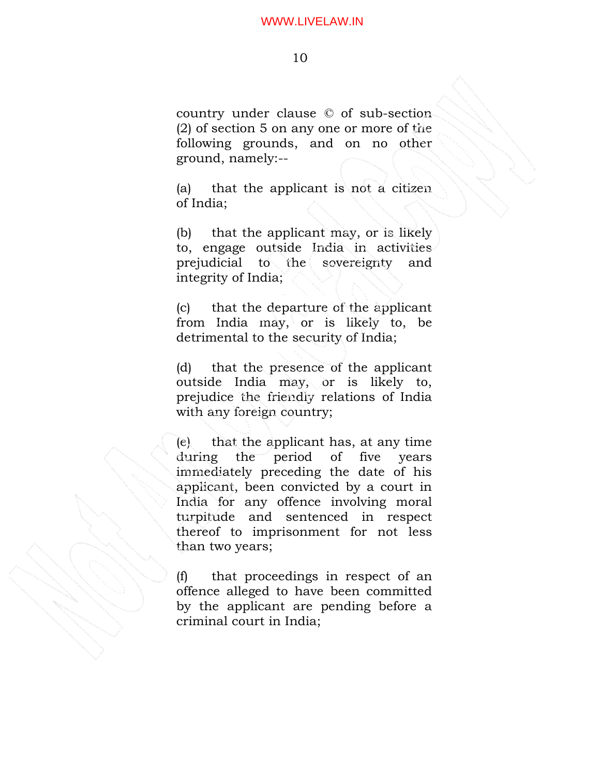### 10

country under clause © of sub-section (2) of section 5 on any one or more of the following grounds, and on no other ground, namely:--

(a) that the applicant is not a citizen of India;

(b) that the applicant may, or is likely to, engage outside India in activities prejudicial to the sovereignty and integrity of India;

(c) that the departure of the applicant from India may, or is likely to, be detrimental to the security of India;

(d) that the presence of the applicant outside India may, or is likely to, prejudice the friendly relations of India with any foreign country;

(e) that the applicant has, at any time during the period of five years immediately preceding the date of his applicant, been convicted by a court in India for any offence involving moral turpitude and sentenced in respect thereof to imprisonment for not less than two years;

(f) that proceedings in respect of an offence alleged to have been committed by the applicant are pending before a criminal court in India;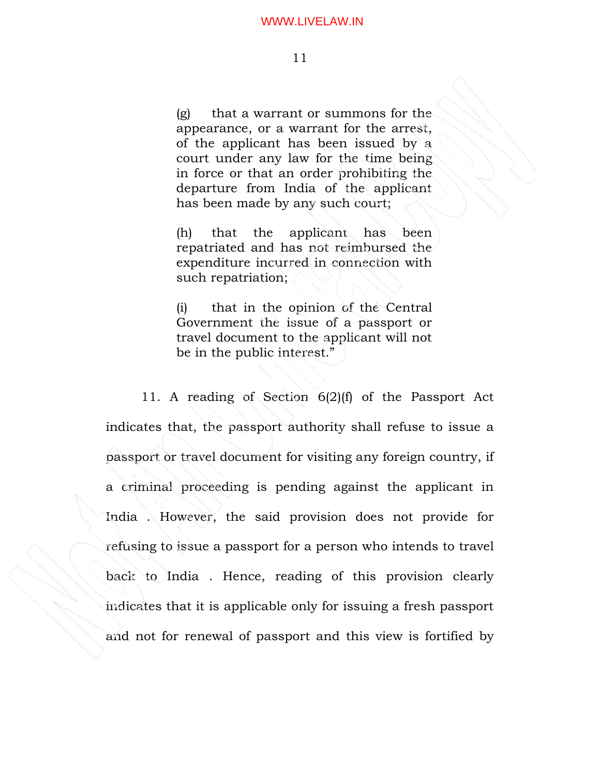(g) that a warrant or summons for the appearance, or a warrant for the arrest, of the applicant has been issued by a court under any law for the time being in force or that an order prohibiting the departure from India of the applicant has been made by any such court;

(h) that the applicant has been repatriated and has not reimbursed the expenditure incurred in connection with such repatriation;

(i) that in the opinion of the Central Government the issue of a passport or travel document to the applicant will not be in the public interest."

11. A reading of Section 6(2)(f) of the Passport Act indicates that, the passport authority shall refuse to issue a passport or travel document for visiting any foreign country, if a criminal proceeding is pending against the applicant in India . However, the said provision does not provide for refusing to issue a passport for a person who intends to travel back to India . Hence, reading of this provision clearly indicates that it is applicable only for issuing a fresh passport and not for renewal of passport and this view is fortified by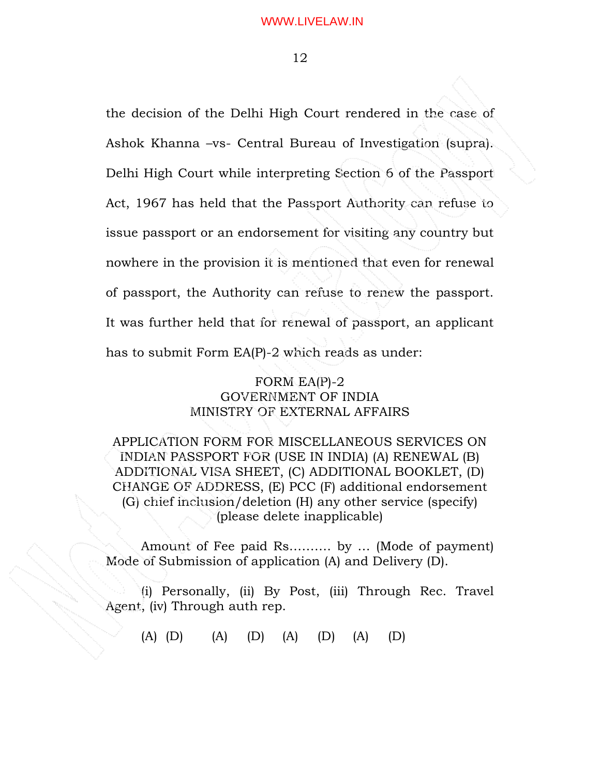the decision of the Delhi High Court rendered in the case of Ashok Khanna –vs- Central Bureau of Investigation (supra). Delhi High Court while interpreting Section 6 of the Passport Act, 1967 has held that the Passport Authority can refuse to issue passport or an endorsement for visiting any country but nowhere in the provision it is mentioned that even for renewal of passport, the Authority can refuse to renew the passport. It was further held that for renewal of passport, an applicant has to submit Form EA(P)-2 which reads as under:

# FORM EA(P)-2 GOVERNMENT OF INDIA MINISTRY OF EXTERNAL AFFAIRS

APPLICATION FORM FOR MISCELLANEOUS SERVICES ON INDIAN PASSPORT FOR (USE IN INDIA) (A) RENEWAL (B) ADDITIONAL VISA SHEET, (C) ADDITIONAL BOOKLET, (D) CHANGE OF ADDRESS, (E) PCC (F) additional endorsement (G) chief inclusion/deletion (H) any other service (specify) (please delete inapplicable)

 Amount of Fee paid Rs………. by … (Mode of payment) Mode of Submission of application (A) and Delivery (D).

 (i) Personally, (ii) By Post, (iii) Through Rec. Travel Agent, (iv) Through auth rep.

(A) (D) (A) (D) (A) (D) (A) (D)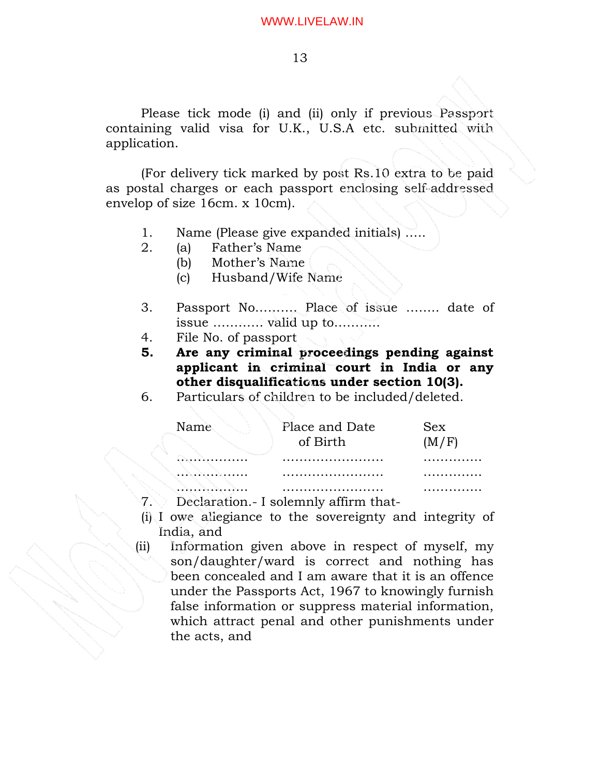Please tick mode (i) and (ii) only if previous Passport containing valid visa for U.K., U.S.A etc. submitted with application.

 (For delivery tick marked by post Rs.10 extra to be paid as postal charges or each passport enclosing self-addressed envelop of size 16cm. x 10cm).

- 1. Name (Please give expanded initials) …..
- 2. (a) Father's Name
	- (b) Mother's Name
	- (c) Husband/Wife Name
- 3. Passport No………. Place of issue …….. date of issue ………… valid up to………..
- 4. File No. of passport
- **5. Are any criminal proceedings pending against applicant in criminal court in India or any other disqualifications under section 10(3).**
- 6. Particulars of children to be included/deleted.

| Name | Place and Date<br>of Birth | <b>Sex</b><br>(M/F) |
|------|----------------------------|---------------------|
|      |                            |                     |
| .    |                            |                     |
| .    |                            |                     |

7. Declaration.- I solemnly affirm that-

- (i) I owe allegiance to the sovereignty and integrity of India, and
- (ii) Information given above in respect of myself, my son/daughter/ward is correct and nothing has been concealed and I am aware that it is an offence under the Passports Act, 1967 to knowingly furnish false information or suppress material information, which attract penal and other punishments under the acts, and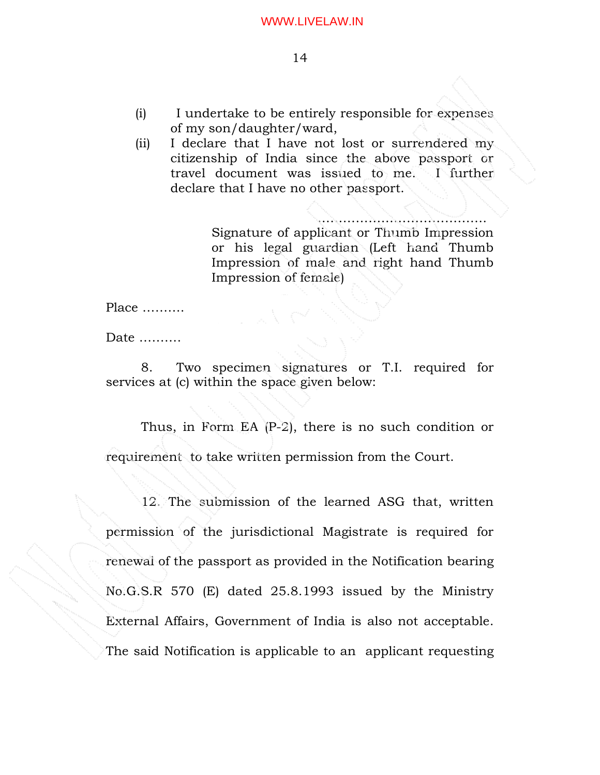- (i) I undertake to be entirely responsible for expenses of my son/daughter/ward,
- (ii) I declare that I have not lost or surrendered my citizenship of India since the above passport or travel document was issued to me. I further declare that I have no other passport.

…………………………………. Signature of applicant or Thumb Impression or his legal guardian (Left hand Thumb Impression of male and right hand Thumb Impression of female)

Place ……….

Date ………

 8. Two specimen signatures or T.I. required for services at (c) within the space given below:

Thus, in Form EA (P-2), there is no such condition or requirement to take written permission from the Court.

12. The submission of the learned ASG that, written permission of the jurisdictional Magistrate is required for renewal of the passport as provided in the Notification bearing No.G.S.R 570 (E) dated 25.8.1993 issued by the Ministry External Affairs, Government of India is also not acceptable. The said Notification is applicable to an applicant requesting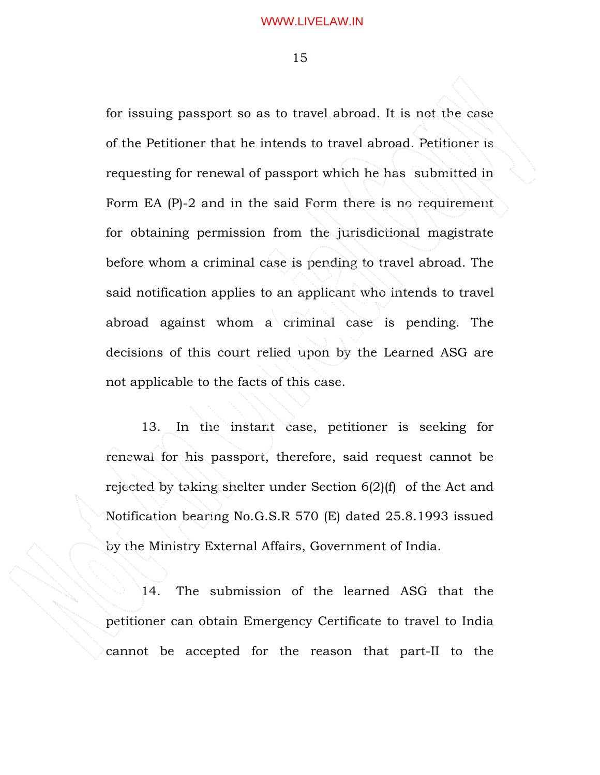for issuing passport so as to travel abroad. It is not the case of the Petitioner that he intends to travel abroad. Petitioner is requesting for renewal of passport which he has submitted in Form EA (P)-2 and in the said Form there is no requirement for obtaining permission from the jurisdictional magistrate before whom a criminal case is pending to travel abroad. The said notification applies to an applicant who intends to travel abroad against whom a criminal case is pending. The decisions of this court relied upon by the Learned ASG are not applicable to the facts of this case.

13. In the instant case, petitioner is seeking for renewal for his passport, therefore, said request cannot be rejected by taking shelter under Section 6(2)(f) of the Act and Notification bearing No.G.S.R 570 (E) dated 25.8.1993 issued by the Ministry External Affairs, Government of India.

14. The submission of the learned ASG that the petitioner can obtain Emergency Certificate to travel to India cannot be accepted for the reason that part-II to the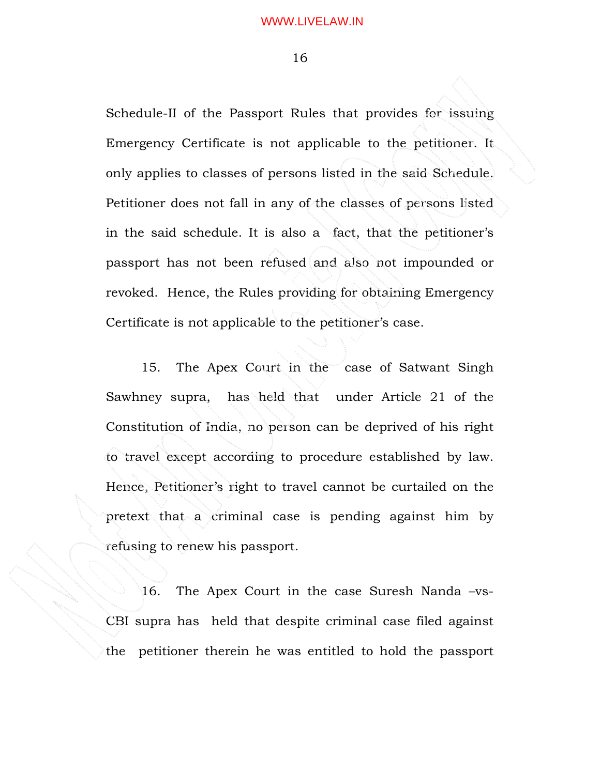Schedule-II of the Passport Rules that provides for issuing Emergency Certificate is not applicable to the petitioner. It only applies to classes of persons listed in the said Schedule. Petitioner does not fall in any of the classes of persons listed in the said schedule. It is also a fact, that the petitioner's passport has not been refused and also not impounded or revoked. Hence, the Rules providing for obtaining Emergency Certificate is not applicable to the petitioner's case.

15. The Apex Court in the case of Satwant Singh Sawhney supra, has held that under Article 21 of the Constitution of India, no person can be deprived of his right to travel except according to procedure established by law. Hence, Petitioner's right to travel cannot be curtailed on the pretext that a criminal case is pending against him by refusing to renew his passport.

16. The Apex Court in the case Suresh Nanda –vs-CBI supra has held that despite criminal case filed against the petitioner therein he was entitled to hold the passport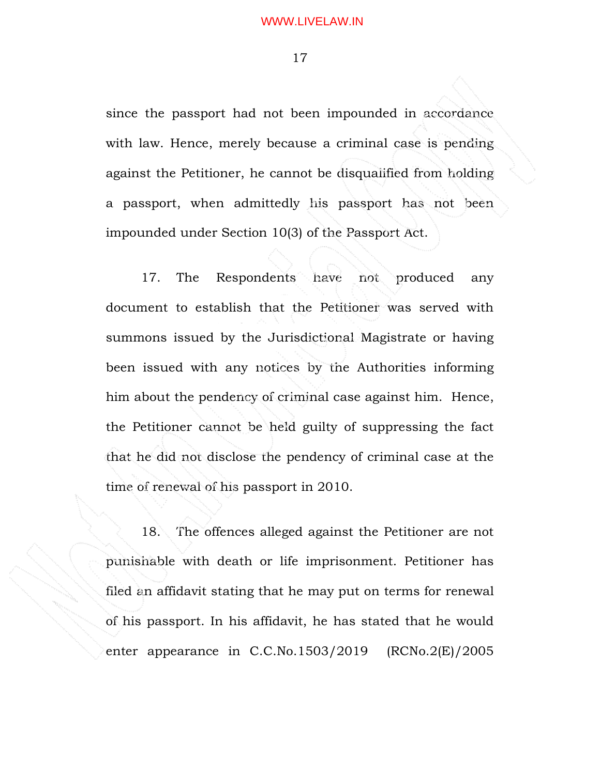since the passport had not been impounded in accordance with law. Hence, merely because a criminal case is pending against the Petitioner, he cannot be disqualified from holding a passport, when admittedly his passport has not been impounded under Section 10(3) of the Passport Act.

17. The Respondents have not produced any document to establish that the Petitioner was served with summons issued by the Jurisdictional Magistrate or having been issued with any notices by the Authorities informing him about the pendency of criminal case against him. Hence, the Petitioner cannot be held guilty of suppressing the fact that he did not disclose the pendency of criminal case at the time of renewal of his passport in 2010.

18. The offences alleged against the Petitioner are not punishable with death or life imprisonment. Petitioner has filed an affidavit stating that he may put on terms for renewal of his passport. In his affidavit, he has stated that he would enter appearance in C.C.No.1503/2019 (RCNo.2(E)/2005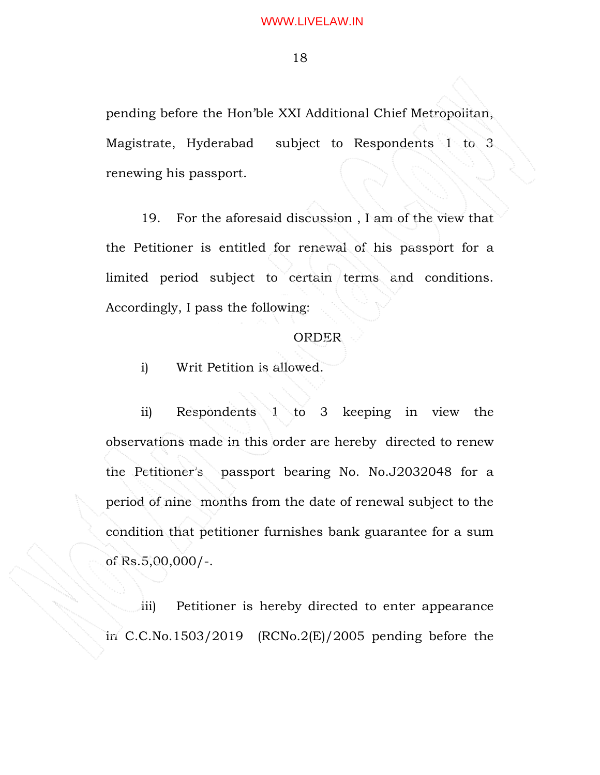pending before the Hon'ble XXI Additional Chief Metropolitan, Magistrate, Hyderabad subject to Respondents 1 to 3 renewing his passport.

19. For the aforesaid discussion , I am of the view that the Petitioner is entitled for renewal of his passport for a limited period subject to certain terms and conditions. Accordingly, I pass the following:

### ORDER

i) Writ Petition is allowed.

ii) Respondents 1 to 3 keeping in view the observations made in this order are hereby directed to renew the Petitioner's passport bearing No. No.J2032048 for a period of nine months from the date of renewal subject to the condition that petitioner furnishes bank guarantee for a sum of Rs.5,00,000/-.

iii) Petitioner is hereby directed to enter appearance in  $C.C.No.1503/2019$  (RCNo.2(E)/2005 pending before the